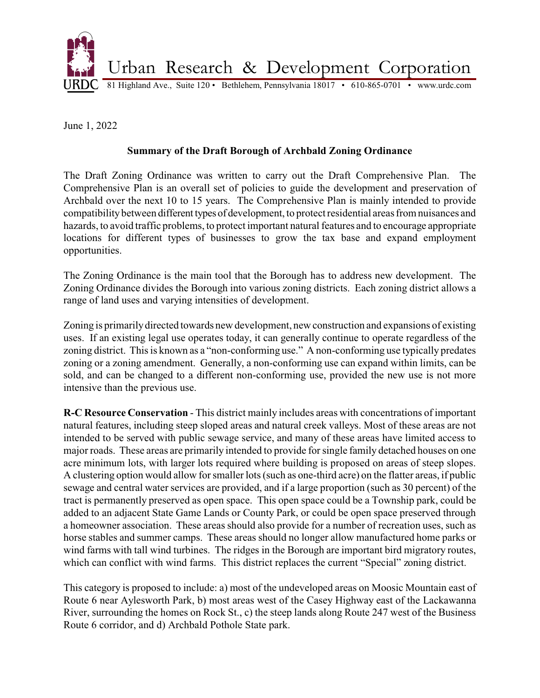

June 1, 2022

## **Summary of the Draft Borough of Archbald Zoning Ordinance**

The Draft Zoning Ordinance was written to carry out the Draft Comprehensive Plan. The Comprehensive Plan is an overall set of policies to guide the development and preservation of Archbald over the next 10 to 15 years. The Comprehensive Plan is mainly intended to provide compatibility between different types of development, to protect residential areas from nuisances and hazards, to avoid traffic problems, to protect important natural features and to encourage appropriate locations for different types of businesses to grow the tax base and expand employment opportunities.

The Zoning Ordinance is the main tool that the Borough has to address new development. The Zoning Ordinance divides the Borough into various zoning districts. Each zoning district allows a range of land uses and varying intensities of development.

Zoning is primarilydirected towards new development, new construction and expansions of existing uses. If an existing legal use operates today, it can generally continue to operate regardless of the zoning district. This is known as a "non-conforming use." A non-conforming use typically predates zoning or a zoning amendment. Generally, a non-conforming use can expand within limits, can be sold, and can be changed to a different non-conforming use, provided the new use is not more intensive than the previous use.

**R-C Resource Conservation** - This district mainly includes areas with concentrations of important natural features, including steep sloped areas and natural creek valleys. Most of these areas are not intended to be served with public sewage service, and many of these areas have limited access to major roads. These areas are primarily intended to provide for single family detached houses on one acre minimum lots, with larger lots required where building is proposed on areas of steep slopes. A clustering option would allow for smaller lots (such as one-third acre) on the flatter areas, if public sewage and central water services are provided, and if a large proportion (such as 30 percent) of the tract is permanently preserved as open space. This open space could be a Township park, could be added to an adjacent State Game Lands or County Park, or could be open space preserved through a homeowner association. These areas should also provide for a number of recreation uses, such as horse stables and summer camps. These areas should no longer allow manufactured home parks or wind farms with tall wind turbines. The ridges in the Borough are important bird migratory routes, which can conflict with wind farms. This district replaces the current "Special" zoning district.

This category is proposed to include: a) most of the undeveloped areas on Moosic Mountain east of Route 6 near Aylesworth Park, b) most areas west of the Casey Highway east of the Lackawanna River, surrounding the homes on Rock St., c) the steep lands along Route 247 west of the Business Route 6 corridor, and d) Archbald Pothole State park.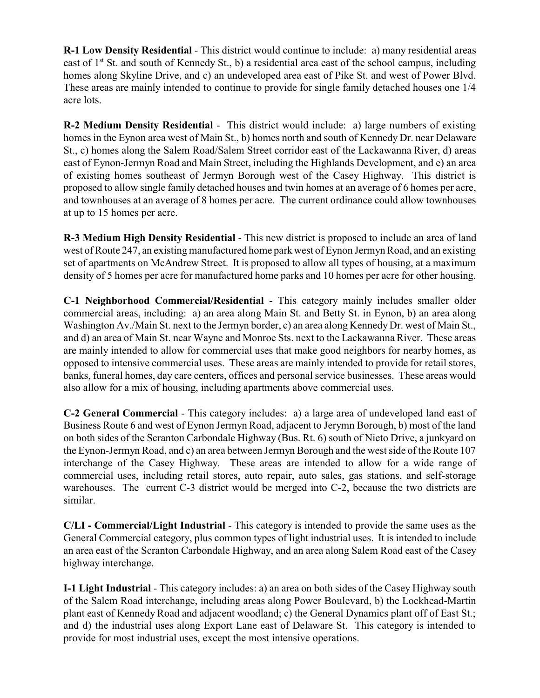**R-1 Low Density Residential** - This district would continue to include: a) many residential areas east of 1<sup>st</sup> St. and south of Kennedy St., b) a residential area east of the school campus, including homes along Skyline Drive, and c) an undeveloped area east of Pike St. and west of Power Blvd. These areas are mainly intended to continue to provide for single family detached houses one 1/4 acre lots.

**R-2 Medium Density Residential** - This district would include: a) large numbers of existing homes in the Eynon area west of Main St., b) homes north and south of Kennedy Dr. near Delaware St., c) homes along the Salem Road/Salem Street corridor east of the Lackawanna River, d) areas east of Eynon-Jermyn Road and Main Street, including the Highlands Development, and e) an area of existing homes southeast of Jermyn Borough west of the Casey Highway. This district is proposed to allow single family detached houses and twin homes at an average of 6 homes per acre, and townhouses at an average of 8 homes per acre. The current ordinance could allow townhouses at up to 15 homes per acre.

**R-3 Medium High Density Residential** - This new district is proposed to include an area of land west of Route 247, an existing manufactured home park west of Eynon Jermyn Road, and an existing set of apartments on McAndrew Street. It is proposed to allow all types of housing, at a maximum density of 5 homes per acre for manufactured home parks and 10 homes per acre for other housing.

**C-1 Neighborhood Commercial/Residential** - This category mainly includes smaller older commercial areas, including: a) an area along Main St. and Betty St. in Eynon, b) an area along Washington Av./Main St. next to the Jermyn border, c) an area along Kennedy Dr. west of Main St., and d) an area of Main St. near Wayne and Monroe Sts. next to the Lackawanna River. These areas are mainly intended to allow for commercial uses that make good neighbors for nearby homes, as opposed to intensive commercial uses. These areas are mainly intended to provide for retail stores, banks, funeral homes, day care centers, offices and personal service businesses. These areas would also allow for a mix of housing, including apartments above commercial uses.

**C-2 General Commercial** - This category includes: a) a large area of undeveloped land east of Business Route 6 and west of Eynon Jermyn Road, adjacent to Jerymn Borough, b) most of the land on both sides of the Scranton Carbondale Highway (Bus. Rt. 6) south of Nieto Drive, a junkyard on the Eynon-Jermyn Road, and c) an area between Jermyn Borough and the west side of the Route 107 interchange of the Casey Highway. These areas are intended to allow for a wide range of commercial uses, including retail stores, auto repair, auto sales, gas stations, and self-storage warehouses. The current C-3 district would be merged into C-2, because the two districts are similar.

**C/LI - Commercial/Light Industrial** - This category is intended to provide the same uses as the General Commercial category, plus common types of light industrial uses. It is intended to include an area east of the Scranton Carbondale Highway, and an area along Salem Road east of the Casey highway interchange.

**I-1 Light Industrial** - This category includes: a) an area on both sides of the Casey Highway south of the Salem Road interchange, including areas along Power Boulevard, b) the Lockhead-Martin plant east of Kennedy Road and adjacent woodland; c) the General Dynamics plant off of East St.; and d) the industrial uses along Export Lane east of Delaware St. This category is intended to provide for most industrial uses, except the most intensive operations.